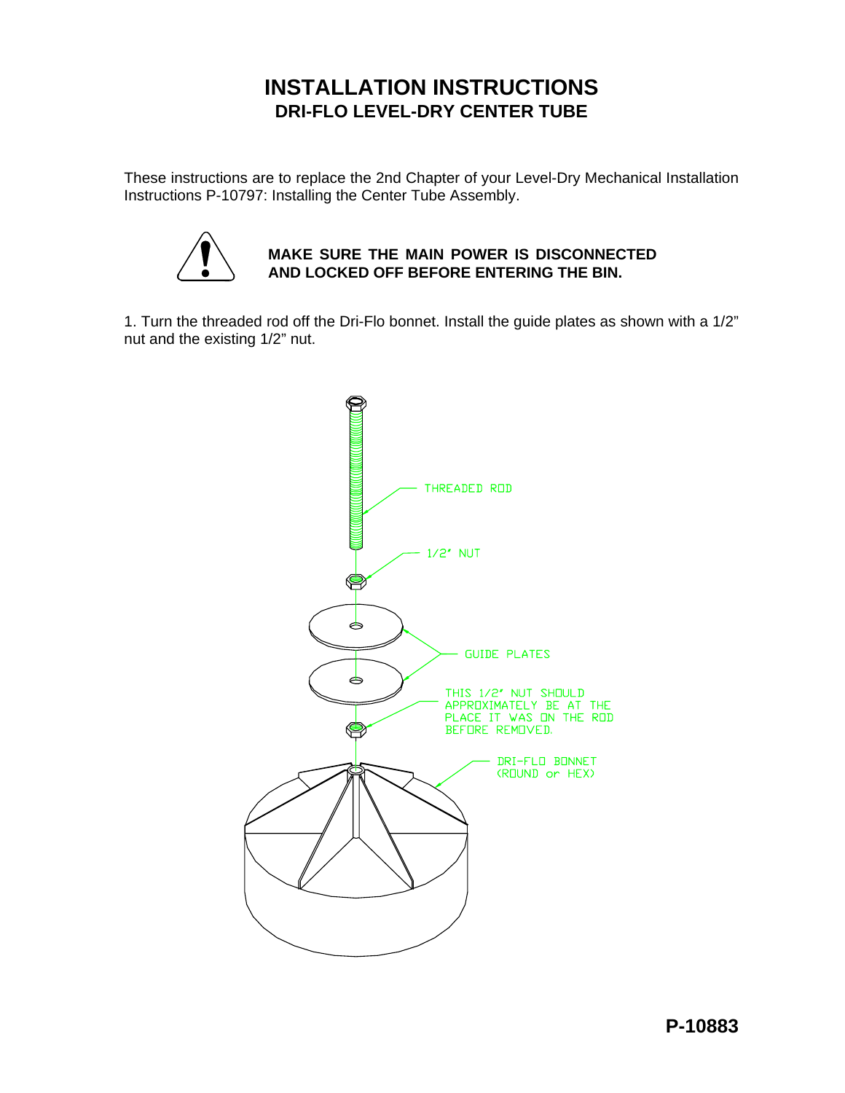## **INSTALLATION INSTRUCTIONS DRI-FLO LEVEL-DRY CENTER TUBE**

These instructions are to replace the 2nd Chapter of your Level-Dry Mechanical Installation Instructions P-10797: Installing the Center Tube Assembly.



## **MAKE SURE THE MAIN POWER IS DISCONNECTED AND LOCKED OFF BEFORE ENTERING THE BIN.**

1. Turn the threaded rod off the Dri-Flo bonnet. Install the guide plates as shown with a 1/2" nut and the existing 1/2" nut.

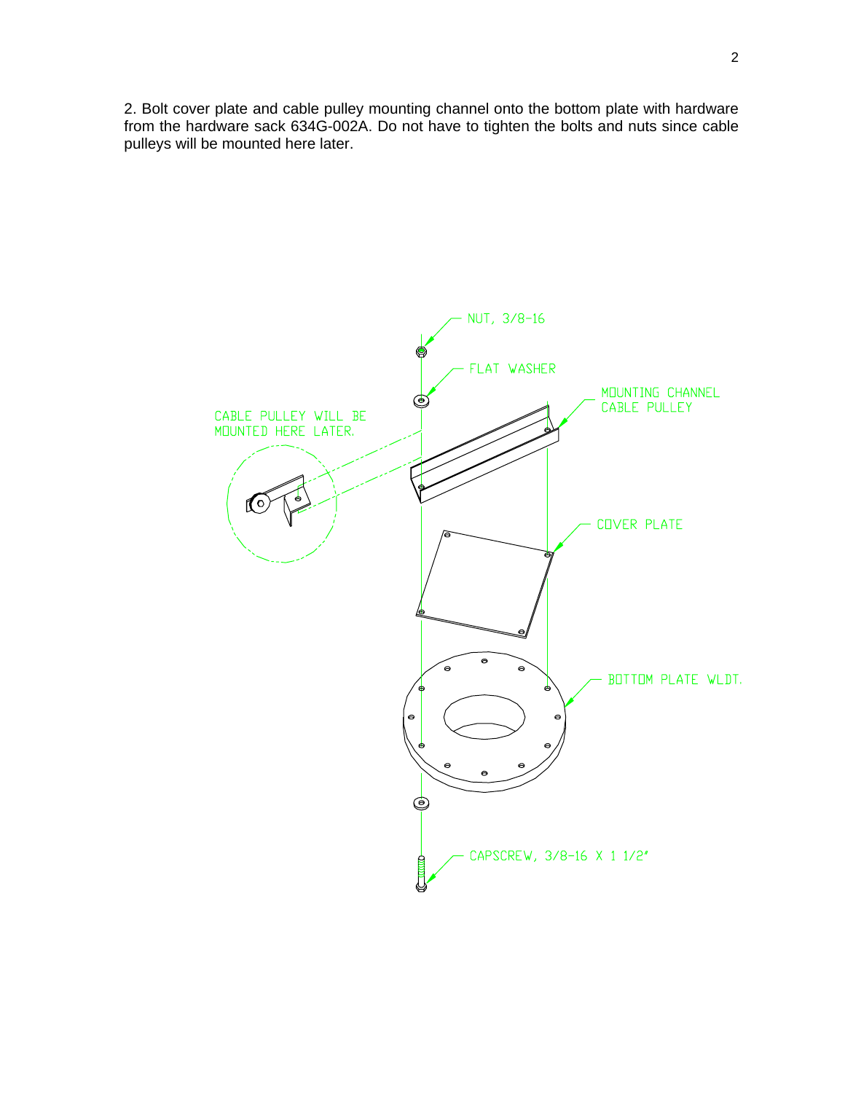2. Bolt cover plate and cable pulley mounting channel onto the bottom plate with hardware from the hardware sack 634G-002A. Do not have to tighten the bolts and nuts since cable pulleys will be mounted here later.

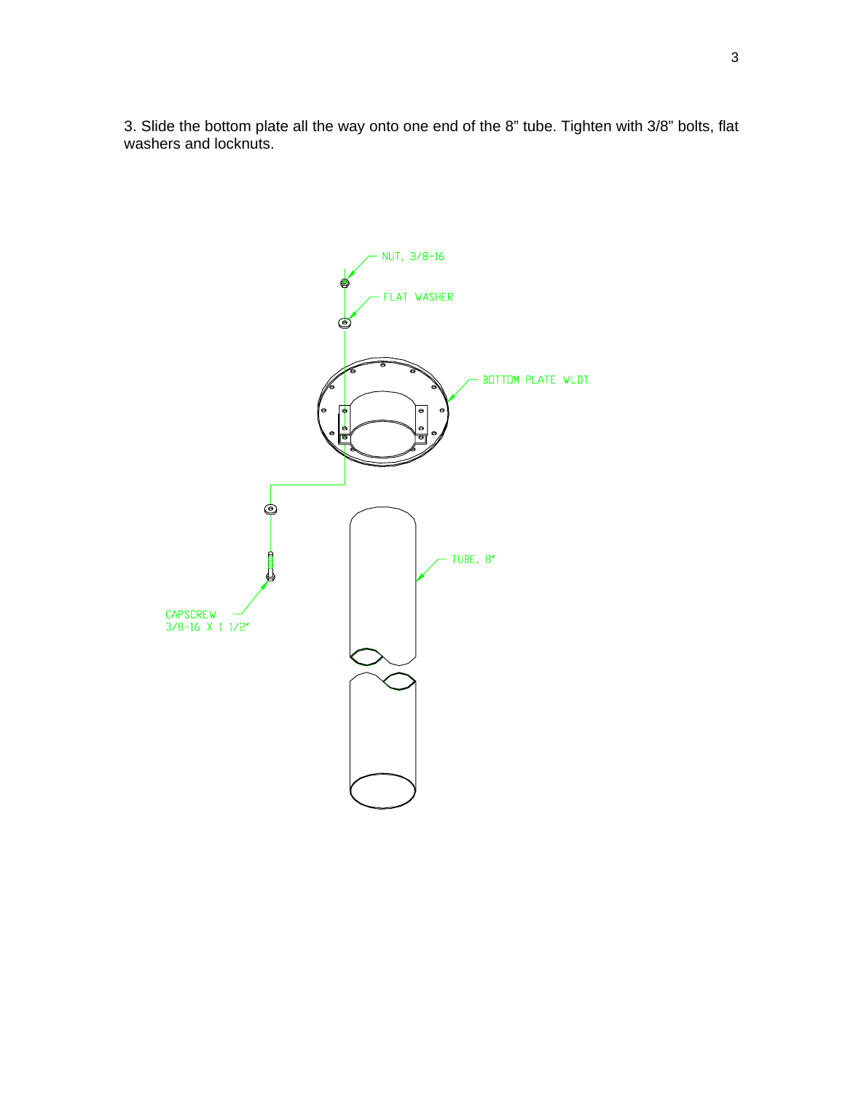3. Slide the bottom plate all the way onto one end of the 8" tube. Tighten with 3/8" bolts, flat washers and locknuts.

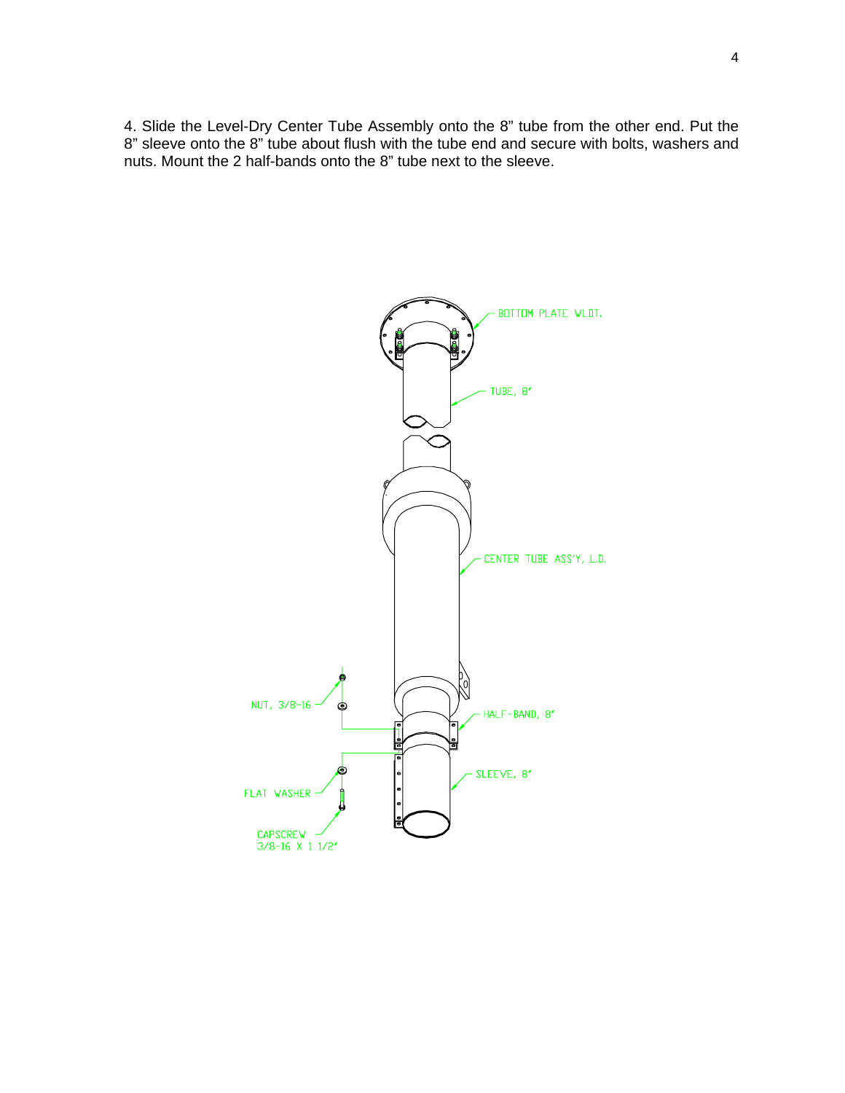4. Slide the Level-Dry Center Tube Assembly onto the 8" tube from the other end. Put the 8" sleeve onto the 8" tube about flush with the tube end and secure with bolts, washers and nuts. Mount the 2 half-bands onto the 8" tube next to the sleeve.

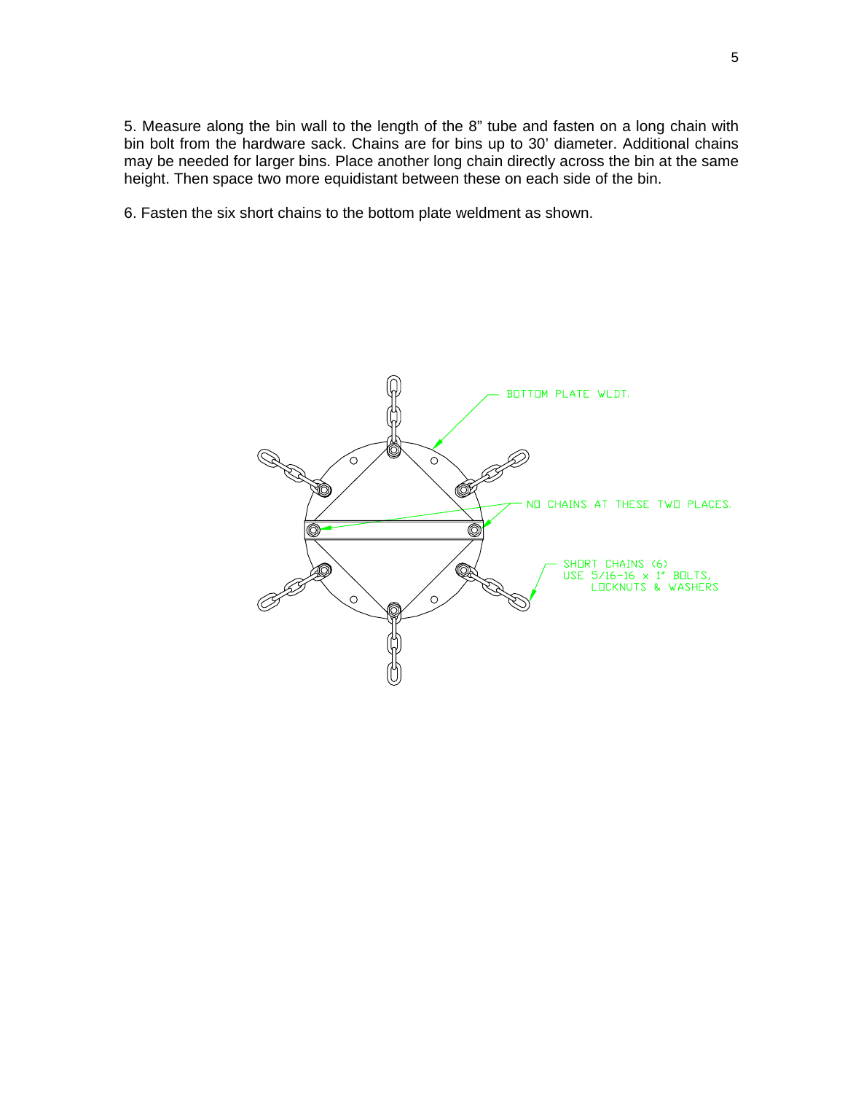5. Measure along the bin wall to the length of the 8" tube and fasten on a long chain with bin bolt from the hardware sack. Chains are for bins up to 30' diameter. Additional chains may be needed for larger bins. Place another long chain directly across the bin at the same height. Then space two more equidistant between these on each side of the bin.

6. Fasten the six short chains to the bottom plate weldment as shown.

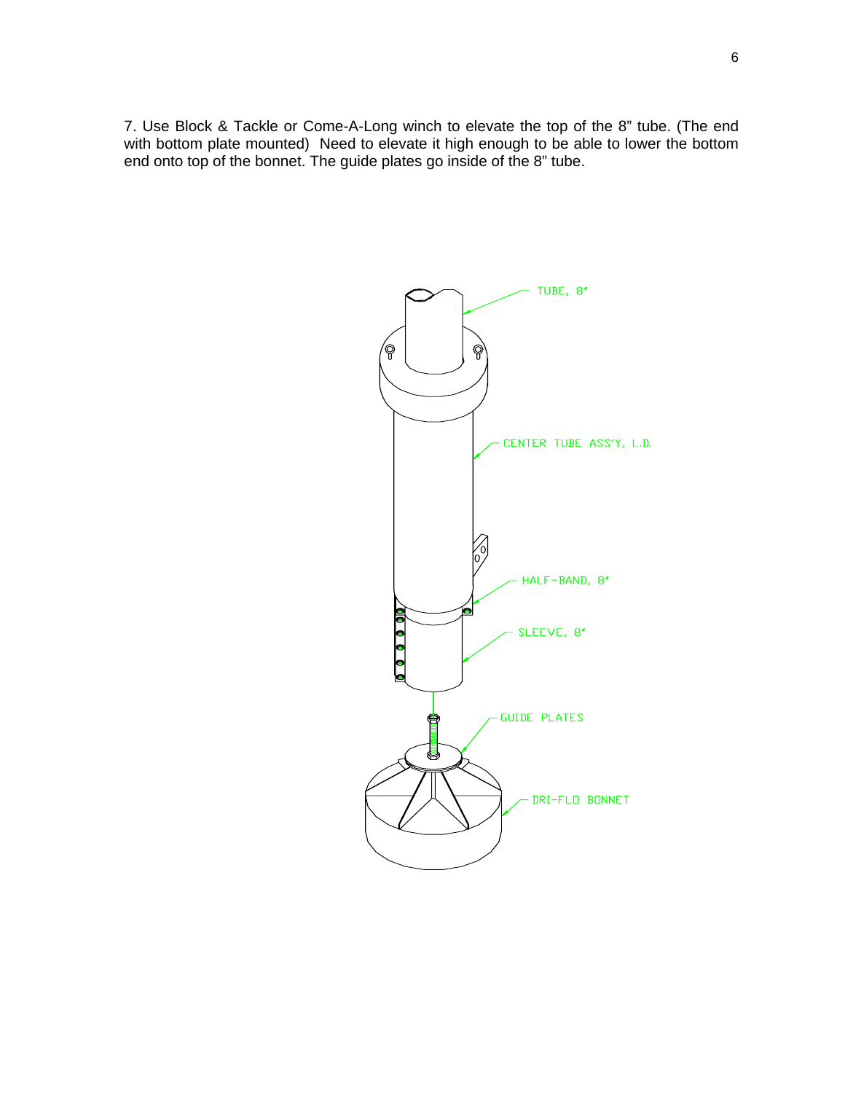7. Use Block & Tackle or Come-A-Long winch to elevate the top of the 8" tube. (The end with bottom plate mounted) Need to elevate it high enough to be able to lower the bottom end onto top of the bonnet. The guide plates go inside of the 8" tube.